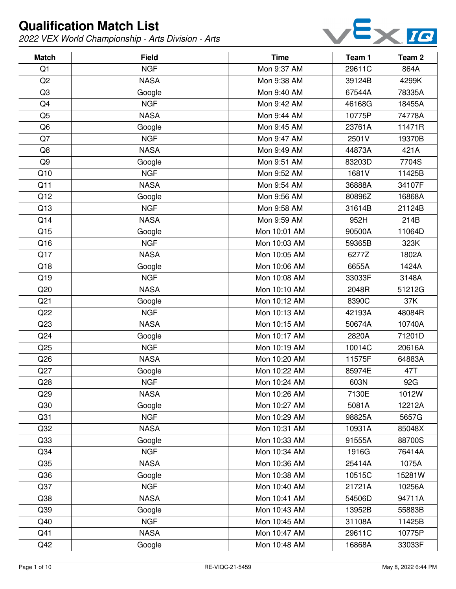

| <b>Match</b>    | <b>Field</b> | <b>Time</b>  | Team 1 | Team 2 |
|-----------------|--------------|--------------|--------|--------|
| Q1              | <b>NGF</b>   | Mon 9:37 AM  | 29611C | 864A   |
| Q2              | <b>NASA</b>  | Mon 9:38 AM  | 39124B | 4299K  |
| Q3              | Google       | Mon 9:40 AM  | 67544A | 78335A |
| Q4              | <b>NGF</b>   | Mon 9:42 AM  | 46168G | 18455A |
| Q <sub>5</sub>  | <b>NASA</b>  | Mon 9:44 AM  | 10775P | 74778A |
| Q <sub>6</sub>  | Google       | Mon 9:45 AM  | 23761A | 11471R |
| Q7              | <b>NGF</b>   | Mon 9:47 AM  | 2501V  | 19370B |
| Q8              | <b>NASA</b>  | Mon 9:49 AM  | 44873A | 421A   |
| Q <sub>9</sub>  | Google       | Mon 9:51 AM  | 83203D | 7704S  |
| Q10             | <b>NGF</b>   | Mon 9:52 AM  | 1681V  | 11425B |
| Q11             | <b>NASA</b>  | Mon 9:54 AM  | 36888A | 34107F |
| Q12             | Google       | Mon 9:56 AM  | 80896Z | 16868A |
| Q13             | <b>NGF</b>   | Mon 9:58 AM  | 31614B | 21124B |
| Q14             | <b>NASA</b>  | Mon 9:59 AM  | 952H   | 214B   |
| Q15             | Google       | Mon 10:01 AM | 90500A | 11064D |
| Q16             | <b>NGF</b>   | Mon 10:03 AM | 59365B | 323K   |
| Q17             | <b>NASA</b>  | Mon 10:05 AM | 6277Z  | 1802A  |
| Q18             | Google       | Mon 10:06 AM | 6655A  | 1424A  |
| Q19             | <b>NGF</b>   | Mon 10:08 AM | 33033F | 3148A  |
| Q20             | <b>NASA</b>  | Mon 10:10 AM | 2048R  | 51212G |
| Q21             | Google       | Mon 10:12 AM | 8390C  | 37K    |
| Q22             | <b>NGF</b>   | Mon 10:13 AM | 42193A | 48084R |
| Q23             | <b>NASA</b>  | Mon 10:15 AM | 50674A | 10740A |
| Q24             | Google       | Mon 10:17 AM | 2820A  | 71201D |
| Q25             | <b>NGF</b>   | Mon 10:19 AM | 10014C | 20616A |
| Q26             | <b>NASA</b>  | Mon 10:20 AM | 11575F | 64883A |
| Q27             | Google       | Mon 10:22 AM | 85974E | 47T    |
| Q28             | <b>NGF</b>   | Mon 10:24 AM | 603N   | 92G    |
| Q29             | <b>NASA</b>  | Mon 10:26 AM | 7130E  | 1012W  |
| Q30             | Google       | Mon 10:27 AM | 5081A  | 12212A |
| Q <sub>31</sub> | <b>NGF</b>   | Mon 10:29 AM | 98825A | 5657G  |
| Q <sub>32</sub> | <b>NASA</b>  | Mon 10:31 AM | 10931A | 85048X |
| Q33             | Google       | Mon 10:33 AM | 91555A | 88700S |
| Q <sub>34</sub> | <b>NGF</b>   | Mon 10:34 AM | 1916G  | 76414A |
| Q35             | <b>NASA</b>  | Mon 10:36 AM | 25414A | 1075A  |
| Q36             | Google       | Mon 10:38 AM | 10515C | 15281W |
| Q <sub>37</sub> | <b>NGF</b>   | Mon 10:40 AM | 21721A | 10256A |
| Q38             | <b>NASA</b>  | Mon 10:41 AM | 54506D | 94711A |
| Q39             | Google       | Mon 10:43 AM | 13952B | 55883B |
| Q40             | <b>NGF</b>   | Mon 10:45 AM | 31108A | 11425B |
| Q41             | <b>NASA</b>  | Mon 10:47 AM | 29611C | 10775P |
| Q42             | Google       | Mon 10:48 AM | 16868A | 33033F |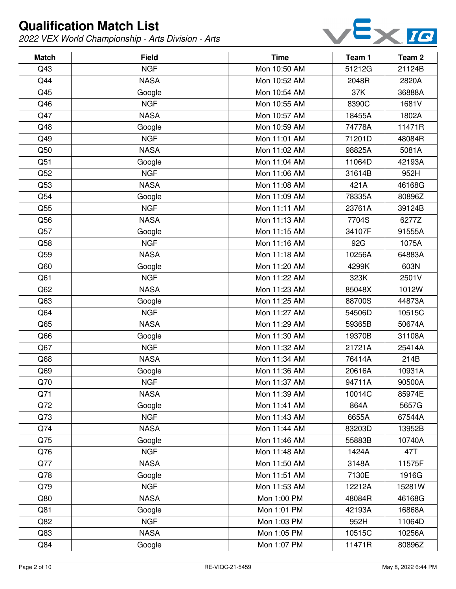

| <b>Match</b> | <b>Field</b> | <b>Time</b>  | Team 1 | Team <sub>2</sub> |
|--------------|--------------|--------------|--------|-------------------|
| Q43          | <b>NGF</b>   | Mon 10:50 AM | 51212G | 21124B            |
| Q44          | <b>NASA</b>  | Mon 10:52 AM | 2048R  | 2820A             |
| Q45          | Google       | Mon 10:54 AM | 37K    | 36888A            |
| Q46          | <b>NGF</b>   | Mon 10:55 AM | 8390C  | 1681V             |
| Q47          | <b>NASA</b>  | Mon 10:57 AM | 18455A | 1802A             |
| Q48          | Google       | Mon 10:59 AM | 74778A | 11471R            |
| Q49          | <b>NGF</b>   | Mon 11:01 AM | 71201D | 48084R            |
| Q50          | <b>NASA</b>  | Mon 11:02 AM | 98825A | 5081A             |
| Q51          | Google       | Mon 11:04 AM | 11064D | 42193A            |
| Q52          | <b>NGF</b>   | Mon 11:06 AM | 31614B | 952H              |
| Q53          | <b>NASA</b>  | Mon 11:08 AM | 421A   | 46168G            |
| Q54          | Google       | Mon 11:09 AM | 78335A | 80896Z            |
| Q55          | <b>NGF</b>   | Mon 11:11 AM | 23761A | 39124B            |
| Q56          | <b>NASA</b>  | Mon 11:13 AM | 7704S  | 6277Z             |
| Q57          | Google       | Mon 11:15 AM | 34107F | 91555A            |
| Q58          | <b>NGF</b>   | Mon 11:16 AM | 92G    | 1075A             |
| Q59          | <b>NASA</b>  | Mon 11:18 AM | 10256A | 64883A            |
| Q60          | Google       | Mon 11:20 AM | 4299K  | 603N              |
| Q61          | <b>NGF</b>   | Mon 11:22 AM | 323K   | 2501V             |
| Q62          | <b>NASA</b>  | Mon 11:23 AM | 85048X | 1012W             |
| Q63          | Google       | Mon 11:25 AM | 88700S | 44873A            |
| Q64          | <b>NGF</b>   | Mon 11:27 AM | 54506D | 10515C            |
| Q65          | <b>NASA</b>  | Mon 11:29 AM | 59365B | 50674A            |
| Q66          | Google       | Mon 11:30 AM | 19370B | 31108A            |
| Q67          | <b>NGF</b>   | Mon 11:32 AM | 21721A | 25414A            |
| Q68          | <b>NASA</b>  | Mon 11:34 AM | 76414A | 214B              |
| Q69          | Google       | Mon 11:36 AM | 20616A | 10931A            |
| Q70          | <b>NGF</b>   | Mon 11:37 AM | 94711A | 90500A            |
| Q71          | <b>NASA</b>  | Mon 11:39 AM | 10014C | 85974E            |
| Q72          | Google       | Mon 11:41 AM | 864A   | 5657G             |
| Q73          | <b>NGF</b>   | Mon 11:43 AM | 6655A  | 67544A            |
| Q74          | <b>NASA</b>  | Mon 11:44 AM | 83203D | 13952B            |
| Q75          | Google       | Mon 11:46 AM | 55883B | 10740A            |
| Q76          | <b>NGF</b>   | Mon 11:48 AM | 1424A  | 47T               |
| Q77          | <b>NASA</b>  | Mon 11:50 AM | 3148A  | 11575F            |
| Q78          | Google       | Mon 11:51 AM | 7130E  | 1916G             |
| Q79          | <b>NGF</b>   | Mon 11:53 AM | 12212A | 15281W            |
| Q80          | <b>NASA</b>  | Mon 1:00 PM  | 48084R | 46168G            |
| Q81          | Google       | Mon 1:01 PM  | 42193A | 16868A            |
| Q82          | <b>NGF</b>   | Mon 1:03 PM  | 952H   | 11064D            |
| Q83          | <b>NASA</b>  | Mon 1:05 PM  | 10515C | 10256A            |
| Q84          | Google       | Mon 1:07 PM  | 11471R | 80896Z            |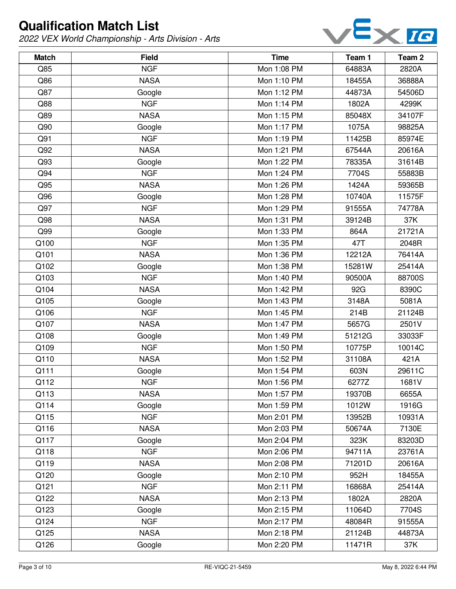

| <b>Match</b> | <b>Field</b> | <b>Time</b> | Team 1 | Team <sub>2</sub> |
|--------------|--------------|-------------|--------|-------------------|
| Q85          | <b>NGF</b>   | Mon 1:08 PM | 64883A | 2820A             |
| Q86          | <b>NASA</b>  | Mon 1:10 PM | 18455A | 36888A            |
| Q87          | Google       | Mon 1:12 PM | 44873A | 54506D            |
| Q88          | <b>NGF</b>   | Mon 1:14 PM | 1802A  | 4299K             |
| Q89          | <b>NASA</b>  | Mon 1:15 PM | 85048X | 34107F            |
| Q90          | Google       | Mon 1:17 PM | 1075A  | 98825A            |
| Q91          | <b>NGF</b>   | Mon 1:19 PM | 11425B | 85974E            |
| Q92          | <b>NASA</b>  | Mon 1:21 PM | 67544A | 20616A            |
| Q93          | Google       | Mon 1:22 PM | 78335A | 31614B            |
| Q94          | <b>NGF</b>   | Mon 1:24 PM | 7704S  | 55883B            |
| Q95          | <b>NASA</b>  | Mon 1:26 PM | 1424A  | 59365B            |
| Q96          | Google       | Mon 1:28 PM | 10740A | 11575F            |
| Q97          | <b>NGF</b>   | Mon 1:29 PM | 91555A | 74778A            |
| Q98          | <b>NASA</b>  | Mon 1:31 PM | 39124B | 37K               |
| Q99          | Google       | Mon 1:33 PM | 864A   | 21721A            |
| Q100         | <b>NGF</b>   | Mon 1:35 PM | 47T    | 2048R             |
| Q101         | <b>NASA</b>  | Mon 1:36 PM | 12212A | 76414A            |
| Q102         | Google       | Mon 1:38 PM | 15281W | 25414A            |
| Q103         | <b>NGF</b>   | Mon 1:40 PM | 90500A | 88700S            |
| Q104         | <b>NASA</b>  | Mon 1:42 PM | 92G    | 8390C             |
| Q105         | Google       | Mon 1:43 PM | 3148A  | 5081A             |
| Q106         | <b>NGF</b>   | Mon 1:45 PM | 214B   | 21124B            |
| Q107         | <b>NASA</b>  | Mon 1:47 PM | 5657G  | 2501V             |
| Q108         | Google       | Mon 1:49 PM | 51212G | 33033F            |
| Q109         | <b>NGF</b>   | Mon 1:50 PM | 10775P | 10014C            |
| Q110         | <b>NASA</b>  | Mon 1:52 PM | 31108A | 421A              |
| Q111         | Google       | Mon 1:54 PM | 603N   | 29611C            |
| Q112         | <b>NGF</b>   | Mon 1:56 PM | 6277Z  | 1681V             |
| Q113         | <b>NASA</b>  | Mon 1:57 PM | 19370B | 6655A             |
| Q114         | Google       | Mon 1:59 PM | 1012W  | 1916G             |
| Q115         | <b>NGF</b>   | Mon 2:01 PM | 13952B | 10931A            |
| Q116         | <b>NASA</b>  | Mon 2:03 PM | 50674A | 7130E             |
| Q117         | Google       | Mon 2:04 PM | 323K   | 83203D            |
| Q118         | <b>NGF</b>   | Mon 2:06 PM | 94711A | 23761A            |
| Q119         | <b>NASA</b>  | Mon 2:08 PM | 71201D | 20616A            |
| Q120         | Google       | Mon 2:10 PM | 952H   | 18455A            |
| Q121         | <b>NGF</b>   | Mon 2:11 PM | 16868A | 25414A            |
| Q122         | <b>NASA</b>  | Mon 2:13 PM | 1802A  | 2820A             |
| Q123         | Google       | Mon 2:15 PM | 11064D | 7704S             |
| Q124         | <b>NGF</b>   | Mon 2:17 PM | 48084R | 91555A            |
| Q125         | <b>NASA</b>  | Mon 2:18 PM | 21124B | 44873A            |
| Q126         | Google       | Mon 2:20 PM | 11471R | 37K               |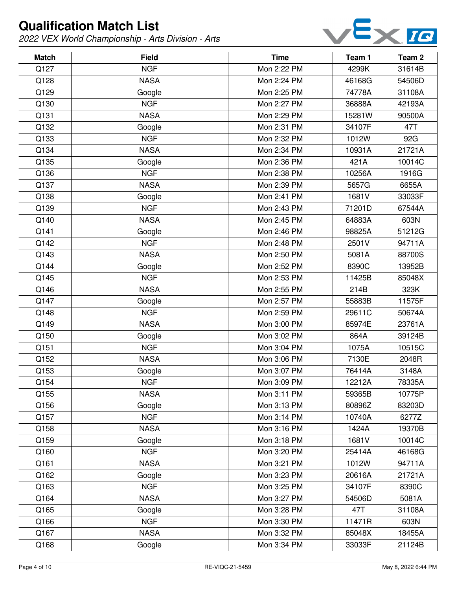

| <b>Match</b> | <b>Field</b> | <b>Time</b> | Team 1 | Team <sub>2</sub> |
|--------------|--------------|-------------|--------|-------------------|
| Q127         | <b>NGF</b>   | Mon 2:22 PM | 4299K  | 31614B            |
| Q128         | <b>NASA</b>  | Mon 2:24 PM | 46168G | 54506D            |
| Q129         | Google       | Mon 2:25 PM | 74778A | 31108A            |
| Q130         | <b>NGF</b>   | Mon 2:27 PM | 36888A | 42193A            |
| Q131         | <b>NASA</b>  | Mon 2:29 PM | 15281W | 90500A            |
| Q132         | Google       | Mon 2:31 PM | 34107F | 47T               |
| Q133         | <b>NGF</b>   | Mon 2:32 PM | 1012W  | 92G               |
| Q134         | <b>NASA</b>  | Mon 2:34 PM | 10931A | 21721A            |
| Q135         | Google       | Mon 2:36 PM | 421A   | 10014C            |
| Q136         | <b>NGF</b>   | Mon 2:38 PM | 10256A | 1916G             |
| Q137         | <b>NASA</b>  | Mon 2:39 PM | 5657G  | 6655A             |
| Q138         | Google       | Mon 2:41 PM | 1681V  | 33033F            |
| Q139         | <b>NGF</b>   | Mon 2:43 PM | 71201D | 67544A            |
| Q140         | <b>NASA</b>  | Mon 2:45 PM | 64883A | 603N              |
| Q141         | Google       | Mon 2:46 PM | 98825A | 51212G            |
| Q142         | <b>NGF</b>   | Mon 2:48 PM | 2501V  | 94711A            |
| Q143         | <b>NASA</b>  | Mon 2:50 PM | 5081A  | 88700S            |
| Q144         | Google       | Mon 2:52 PM | 8390C  | 13952B            |
| Q145         | <b>NGF</b>   | Mon 2:53 PM | 11425B | 85048X            |
| Q146         | <b>NASA</b>  | Mon 2:55 PM | 214B   | 323K              |
| Q147         | Google       | Mon 2:57 PM | 55883B | 11575F            |
| Q148         | <b>NGF</b>   | Mon 2:59 PM | 29611C | 50674A            |
| Q149         | <b>NASA</b>  | Mon 3:00 PM | 85974E | 23761A            |
| Q150         | Google       | Mon 3:02 PM | 864A   | 39124B            |
| Q151         | <b>NGF</b>   | Mon 3:04 PM | 1075A  | 10515C            |
| Q152         | <b>NASA</b>  | Mon 3:06 PM | 7130E  | 2048R             |
| Q153         | Google       | Mon 3:07 PM | 76414A | 3148A             |
| Q154         | <b>NGF</b>   | Mon 3:09 PM | 12212A | 78335A            |
| Q155         | <b>NASA</b>  | Mon 3:11 PM | 59365B | 10775P            |
| Q156         | Google       | Mon 3:13 PM | 80896Z | 83203D            |
| Q157         | <b>NGF</b>   | Mon 3:14 PM | 10740A | 6277Z             |
| Q158         | <b>NASA</b>  | Mon 3:16 PM | 1424A  | 19370B            |
| Q159         | Google       | Mon 3:18 PM | 1681V  | 10014C            |
| Q160         | <b>NGF</b>   | Mon 3:20 PM | 25414A | 46168G            |
| Q161         | <b>NASA</b>  | Mon 3:21 PM | 1012W  | 94711A            |
| Q162         | Google       | Mon 3:23 PM | 20616A | 21721A            |
| Q163         | <b>NGF</b>   | Mon 3:25 PM | 34107F | 8390C             |
| Q164         | <b>NASA</b>  | Mon 3:27 PM | 54506D | 5081A             |
| Q165         | Google       | Mon 3:28 PM | 47T    | 31108A            |
| Q166         | <b>NGF</b>   | Mon 3:30 PM | 11471R | 603N              |
| Q167         | <b>NASA</b>  | Mon 3:32 PM | 85048X | 18455A            |
| Q168         | Google       | Mon 3:34 PM | 33033F | 21124B            |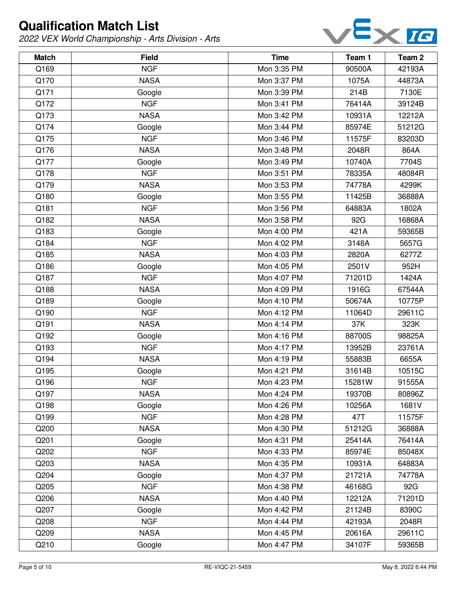

| <b>Match</b> | <b>Field</b> | <b>Time</b> | Team 1 | Team <sub>2</sub> |
|--------------|--------------|-------------|--------|-------------------|
| Q169         | <b>NGF</b>   | Mon 3:35 PM | 90500A | 42193A            |
| Q170         | <b>NASA</b>  | Mon 3:37 PM | 1075A  | 44873A            |
| Q171         | Google       | Mon 3:39 PM | 214B   | 7130E             |
| Q172         | <b>NGF</b>   | Mon 3:41 PM | 76414A | 39124B            |
| Q173         | <b>NASA</b>  | Mon 3:42 PM | 10931A | 12212A            |
| Q174         | Google       | Mon 3:44 PM | 85974E | 51212G            |
| Q175         | <b>NGF</b>   | Mon 3:46 PM | 11575F | 83203D            |
| Q176         | <b>NASA</b>  | Mon 3:48 PM | 2048R  | 864A              |
| Q177         | Google       | Mon 3:49 PM | 10740A | 7704S             |
| Q178         | <b>NGF</b>   | Mon 3:51 PM | 78335A | 48084R            |
| Q179         | <b>NASA</b>  | Mon 3:53 PM | 74778A | 4299K             |
| Q180         | Google       | Mon 3:55 PM | 11425B | 36888A            |
| Q181         | <b>NGF</b>   | Mon 3:56 PM | 64883A | 1802A             |
| Q182         | <b>NASA</b>  | Mon 3:58 PM | 92G    | 16868A            |
| Q183         | Google       | Mon 4:00 PM | 421A   | 59365B            |
| Q184         | <b>NGF</b>   | Mon 4:02 PM | 3148A  | 5657G             |
| Q185         | <b>NASA</b>  | Mon 4:03 PM | 2820A  | 6277Z             |
| Q186         | Google       | Mon 4:05 PM | 2501V  | 952H              |
| Q187         | <b>NGF</b>   | Mon 4:07 PM | 71201D | 1424A             |
| Q188         | <b>NASA</b>  | Mon 4:09 PM | 1916G  | 67544A            |
| Q189         | Google       | Mon 4:10 PM | 50674A | 10775P            |
| Q190         | <b>NGF</b>   | Mon 4:12 PM | 11064D | 29611C            |
| Q191         | <b>NASA</b>  | Mon 4:14 PM | 37K    | 323K              |
| Q192         | Google       | Mon 4:16 PM | 88700S | 98825A            |
| Q193         | <b>NGF</b>   | Mon 4:17 PM | 13952B | 23761A            |
| Q194         | <b>NASA</b>  | Mon 4:19 PM | 55883B | 6655A             |
| Q195         | Google       | Mon 4:21 PM | 31614B | 10515C            |
| Q196         | <b>NGF</b>   | Mon 4:23 PM | 15281W | 91555A            |
| Q197         | <b>NASA</b>  | Mon 4:24 PM | 19370B | 80896Z            |
| Q198         | Google       | Mon 4:26 PM | 10256A | 1681V             |
| Q199         | <b>NGF</b>   | Mon 4:28 PM | 47T    | 11575F            |
| Q200         | <b>NASA</b>  | Mon 4:30 PM | 51212G | 36888A            |
| Q201         | Google       | Mon 4:31 PM | 25414A | 76414A            |
| Q202         | <b>NGF</b>   | Mon 4:33 PM | 85974E | 85048X            |
| Q203         | <b>NASA</b>  | Mon 4:35 PM | 10931A | 64883A            |
| Q204         | Google       | Mon 4:37 PM | 21721A | 74778A            |
| Q205         | <b>NGF</b>   | Mon 4:38 PM | 46168G | 92G               |
| Q206         | <b>NASA</b>  | Mon 4:40 PM | 12212A | 71201D            |
| Q207         | Google       | Mon 4:42 PM | 21124B | 8390C             |
| Q208         | <b>NGF</b>   | Mon 4:44 PM | 42193A | 2048R             |
| Q209         | <b>NASA</b>  | Mon 4:45 PM | 20616A | 29611C            |
| Q210         | Google       | Mon 4:47 PM | 34107F | 59365B            |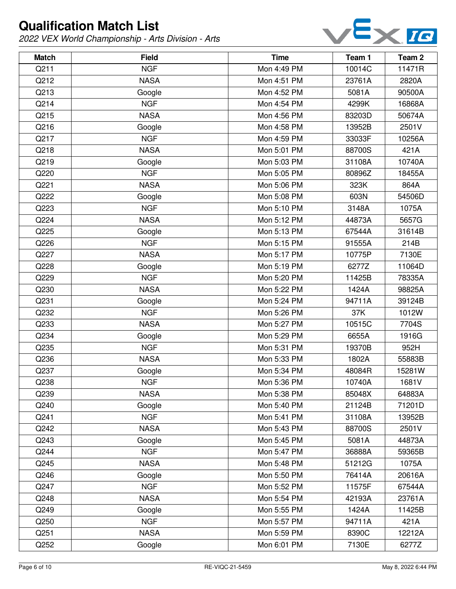

| <b>Match</b> | <b>Field</b> | <b>Time</b> | Team 1 | Team <sub>2</sub> |
|--------------|--------------|-------------|--------|-------------------|
| Q211         | <b>NGF</b>   | Mon 4:49 PM | 10014C | 11471R            |
| Q212         | <b>NASA</b>  | Mon 4:51 PM | 23761A | 2820A             |
| Q213         | Google       | Mon 4:52 PM | 5081A  | 90500A            |
| Q214         | <b>NGF</b>   | Mon 4:54 PM | 4299K  | 16868A            |
| Q215         | <b>NASA</b>  | Mon 4:56 PM | 83203D | 50674A            |
| Q216         | Google       | Mon 4:58 PM | 13952B | 2501V             |
| Q217         | <b>NGF</b>   | Mon 4:59 PM | 33033F | 10256A            |
| Q218         | <b>NASA</b>  | Mon 5:01 PM | 88700S | 421A              |
| Q219         | Google       | Mon 5:03 PM | 31108A | 10740A            |
| Q220         | <b>NGF</b>   | Mon 5:05 PM | 80896Z | 18455A            |
| Q221         | <b>NASA</b>  | Mon 5:06 PM | 323K   | 864A              |
| Q222         | Google       | Mon 5:08 PM | 603N   | 54506D            |
| Q223         | <b>NGF</b>   | Mon 5:10 PM | 3148A  | 1075A             |
| Q224         | <b>NASA</b>  | Mon 5:12 PM | 44873A | 5657G             |
| Q225         | Google       | Mon 5:13 PM | 67544A | 31614B            |
| Q226         | <b>NGF</b>   | Mon 5:15 PM | 91555A | 214B              |
| Q227         | <b>NASA</b>  | Mon 5:17 PM | 10775P | 7130E             |
| Q228         | Google       | Mon 5:19 PM | 6277Z  | 11064D            |
| Q229         | <b>NGF</b>   | Mon 5:20 PM | 11425B | 78335A            |
| Q230         | <b>NASA</b>  | Mon 5:22 PM | 1424A  | 98825A            |
| Q231         | Google       | Mon 5:24 PM | 94711A | 39124B            |
| Q232         | <b>NGF</b>   | Mon 5:26 PM | 37K    | 1012W             |
| Q233         | <b>NASA</b>  | Mon 5:27 PM | 10515C | 7704S             |
| Q234         | Google       | Mon 5:29 PM | 6655A  | 1916G             |
| Q235         | <b>NGF</b>   | Mon 5:31 PM | 19370B | 952H              |
| Q236         | <b>NASA</b>  | Mon 5:33 PM | 1802A  | 55883B            |
| Q237         | Google       | Mon 5:34 PM | 48084R | 15281W            |
| Q238         | <b>NGF</b>   | Mon 5:36 PM | 10740A | 1681V             |
| Q239         | <b>NASA</b>  | Mon 5:38 PM | 85048X | 64883A            |
| Q240         | Google       | Mon 5:40 PM | 21124B | 71201D            |
| Q241         | <b>NGF</b>   | Mon 5:41 PM | 31108A | 13952B            |
| Q242         | <b>NASA</b>  | Mon 5:43 PM | 88700S | 2501V             |
| Q243         | Google       | Mon 5:45 PM | 5081A  | 44873A            |
| Q244         | <b>NGF</b>   | Mon 5:47 PM | 36888A | 59365B            |
| Q245         | <b>NASA</b>  | Mon 5:48 PM | 51212G | 1075A             |
| Q246         | Google       | Mon 5:50 PM | 76414A | 20616A            |
| Q247         | <b>NGF</b>   | Mon 5:52 PM | 11575F | 67544A            |
| Q248         | <b>NASA</b>  | Mon 5:54 PM | 42193A | 23761A            |
| Q249         | Google       | Mon 5:55 PM | 1424A  | 11425B            |
| Q250         | <b>NGF</b>   | Mon 5:57 PM | 94711A | 421A              |
| Q251         | <b>NASA</b>  | Mon 5:59 PM | 8390C  | 12212A            |
| Q252         | Google       | Mon 6:01 PM | 7130E  | 6277Z             |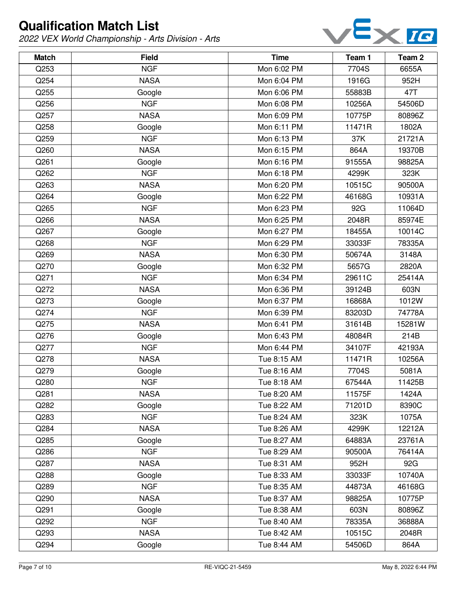

| <b>Match</b> | <b>Field</b> | <b>Time</b> | Team 1 | Team <sub>2</sub> |
|--------------|--------------|-------------|--------|-------------------|
| Q253         | <b>NGF</b>   | Mon 6:02 PM | 7704S  | 6655A             |
| Q254         | <b>NASA</b>  | Mon 6:04 PM | 1916G  | 952H              |
| Q255         | Google       | Mon 6:06 PM | 55883B | 47T               |
| Q256         | <b>NGF</b>   | Mon 6:08 PM | 10256A | 54506D            |
| Q257         | <b>NASA</b>  | Mon 6:09 PM | 10775P | 80896Z            |
| Q258         | Google       | Mon 6:11 PM | 11471R | 1802A             |
| Q259         | <b>NGF</b>   | Mon 6:13 PM | 37K    | 21721A            |
| Q260         | <b>NASA</b>  | Mon 6:15 PM | 864A   | 19370B            |
| Q261         | Google       | Mon 6:16 PM | 91555A | 98825A            |
| Q262         | <b>NGF</b>   | Mon 6:18 PM | 4299K  | 323K              |
| Q263         | <b>NASA</b>  | Mon 6:20 PM | 10515C | 90500A            |
| Q264         | Google       | Mon 6:22 PM | 46168G | 10931A            |
| Q265         | <b>NGF</b>   | Mon 6:23 PM | 92G    | 11064D            |
| Q266         | <b>NASA</b>  | Mon 6:25 PM | 2048R  | 85974E            |
| Q267         | Google       | Mon 6:27 PM | 18455A | 10014C            |
| Q268         | <b>NGF</b>   | Mon 6:29 PM | 33033F | 78335A            |
| Q269         | <b>NASA</b>  | Mon 6:30 PM | 50674A | 3148A             |
| Q270         | Google       | Mon 6:32 PM | 5657G  | 2820A             |
| Q271         | <b>NGF</b>   | Mon 6:34 PM | 29611C | 25414A            |
| Q272         | <b>NASA</b>  | Mon 6:36 PM | 39124B | 603N              |
| Q273         | Google       | Mon 6:37 PM | 16868A | 1012W             |
| Q274         | <b>NGF</b>   | Mon 6:39 PM | 83203D | 74778A            |
| Q275         | <b>NASA</b>  | Mon 6:41 PM | 31614B | 15281W            |
| Q276         | Google       | Mon 6:43 PM | 48084R | 214B              |
| Q277         | <b>NGF</b>   | Mon 6:44 PM | 34107F | 42193A            |
| Q278         | <b>NASA</b>  | Tue 8:15 AM | 11471R | 10256A            |
| Q279         | Google       | Tue 8:16 AM | 7704S  | 5081A             |
| Q280         | <b>NGF</b>   | Tue 8:18 AM | 67544A | 11425B            |
| Q281         | <b>NASA</b>  | Tue 8:20 AM | 11575F | 1424A             |
| Q282         | Google       | Tue 8:22 AM | 71201D | 8390C             |
| Q283         | <b>NGF</b>   | Tue 8:24 AM | 323K   | 1075A             |
| Q284         | <b>NASA</b>  | Tue 8:26 AM | 4299K  | 12212A            |
| Q285         | Google       | Tue 8:27 AM | 64883A | 23761A            |
| Q286         | <b>NGF</b>   | Tue 8:29 AM | 90500A | 76414A            |
| Q287         | <b>NASA</b>  | Tue 8:31 AM | 952H   | 92G               |
| Q288         | Google       | Tue 8:33 AM | 33033F | 10740A            |
| Q289         | <b>NGF</b>   | Tue 8:35 AM | 44873A | 46168G            |
| Q290         | <b>NASA</b>  | Tue 8:37 AM | 98825A | 10775P            |
| Q291         | Google       | Tue 8:38 AM | 603N   | 80896Z            |
| Q292         | <b>NGF</b>   | Tue 8:40 AM | 78335A | 36888A            |
| Q293         | <b>NASA</b>  | Tue 8:42 AM | 10515C | 2048R             |
| Q294         | Google       | Tue 8:44 AM | 54506D | 864A              |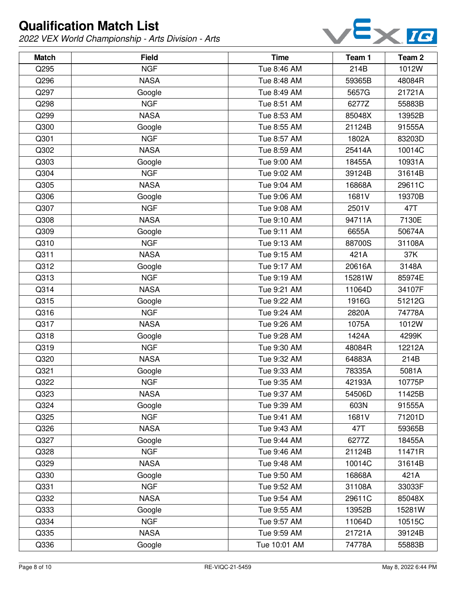

| <b>Match</b> | <b>Field</b> | <b>Time</b>  | Team 1 | Team <sub>2</sub> |
|--------------|--------------|--------------|--------|-------------------|
| Q295         | <b>NGF</b>   | Tue 8:46 AM  | 214B   | 1012W             |
| Q296         | <b>NASA</b>  | Tue 8:48 AM  | 59365B | 48084R            |
| Q297         | Google       | Tue 8:49 AM  | 5657G  | 21721A            |
| Q298         | <b>NGF</b>   | Tue 8:51 AM  | 6277Z  | 55883B            |
| Q299         | <b>NASA</b>  | Tue 8:53 AM  | 85048X | 13952B            |
| Q300         | Google       | Tue 8:55 AM  | 21124B | 91555A            |
| Q301         | <b>NGF</b>   | Tue 8:57 AM  | 1802A  | 83203D            |
| Q302         | <b>NASA</b>  | Tue 8:59 AM  | 25414A | 10014C            |
| Q303         | Google       | Tue 9:00 AM  | 18455A | 10931A            |
| Q304         | <b>NGF</b>   | Tue 9:02 AM  | 39124B | 31614B            |
| Q305         | <b>NASA</b>  | Tue 9:04 AM  | 16868A | 29611C            |
| Q306         | Google       | Tue 9:06 AM  | 1681V  | 19370B            |
| Q307         | <b>NGF</b>   | Tue 9:08 AM  | 2501V  | 47T               |
| Q308         | <b>NASA</b>  | Tue 9:10 AM  | 94711A | 7130E             |
| Q309         | Google       | Tue 9:11 AM  | 6655A  | 50674A            |
| Q310         | <b>NGF</b>   | Tue 9:13 AM  | 88700S | 31108A            |
| Q311         | <b>NASA</b>  | Tue 9:15 AM  | 421A   | 37K               |
| Q312         | Google       | Tue 9:17 AM  | 20616A | 3148A             |
| Q313         | <b>NGF</b>   | Tue 9:19 AM  | 15281W | 85974E            |
| Q314         | <b>NASA</b>  | Tue 9:21 AM  | 11064D | 34107F            |
| Q315         | Google       | Tue 9:22 AM  | 1916G  | 51212G            |
| Q316         | <b>NGF</b>   | Tue 9:24 AM  | 2820A  | 74778A            |
| Q317         | <b>NASA</b>  | Tue 9:26 AM  | 1075A  | 1012W             |
| Q318         | Google       | Tue 9:28 AM  | 1424A  | 4299K             |
| Q319         | <b>NGF</b>   | Tue 9:30 AM  | 48084R | 12212A            |
| Q320         | <b>NASA</b>  | Tue 9:32 AM  | 64883A | 214B              |
| Q321         | Google       | Tue 9:33 AM  | 78335A | 5081A             |
| Q322         | <b>NGF</b>   | Tue 9:35 AM  | 42193A | 10775P            |
| Q323         | <b>NASA</b>  | Tue 9:37 AM  | 54506D | 11425B            |
| Q324         | Google       | Tue 9:39 AM  | 603N   | 91555A            |
| Q325         | <b>NGF</b>   | Tue 9:41 AM  | 1681V  | 71201D            |
| Q326         | <b>NASA</b>  | Tue 9:43 AM  | 47T    | 59365B            |
| Q327         | Google       | Tue 9:44 AM  | 6277Z  | 18455A            |
| Q328         | <b>NGF</b>   | Tue 9:46 AM  | 21124B | 11471R            |
| Q329         | <b>NASA</b>  | Tue 9:48 AM  | 10014C | 31614B            |
| Q330         | Google       | Tue 9:50 AM  | 16868A | 421A              |
| Q331         | <b>NGF</b>   | Tue 9:52 AM  | 31108A | 33033F            |
| Q332         | <b>NASA</b>  | Tue 9:54 AM  | 29611C | 85048X            |
| Q333         | Google       | Tue 9:55 AM  | 13952B | 15281W            |
| Q334         | <b>NGF</b>   | Tue 9:57 AM  | 11064D | 10515C            |
| Q335         | <b>NASA</b>  | Tue 9:59 AM  | 21721A | 39124B            |
| Q336         | Google       | Tue 10:01 AM | 74778A | 55883B            |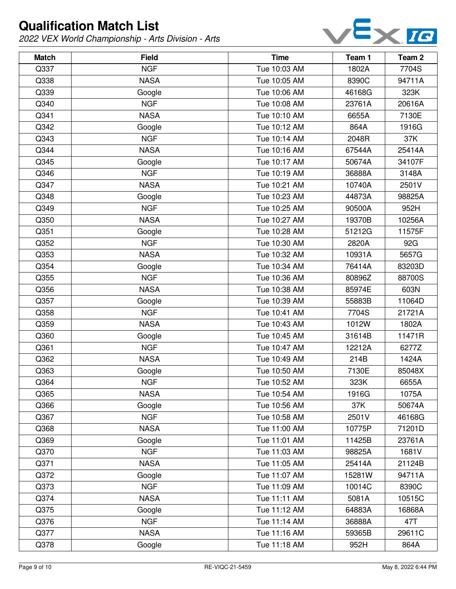

| <b>Match</b> | <b>Field</b> | <b>Time</b>  | Team 1 | Team 2 |
|--------------|--------------|--------------|--------|--------|
| Q337         | <b>NGF</b>   | Tue 10:03 AM | 1802A  | 7704S  |
| Q338         | <b>NASA</b>  | Tue 10:05 AM | 8390C  | 94711A |
| Q339         | Google       | Tue 10:06 AM | 46168G | 323K   |
| Q340         | <b>NGF</b>   | Tue 10:08 AM | 23761A | 20616A |
| Q341         | <b>NASA</b>  | Tue 10:10 AM | 6655A  | 7130E  |
| Q342         | Google       | Tue 10:12 AM | 864A   | 1916G  |
| Q343         | <b>NGF</b>   | Tue 10:14 AM | 2048R  | 37K    |
| Q344         | <b>NASA</b>  | Tue 10:16 AM | 67544A | 25414A |
| Q345         | Google       | Tue 10:17 AM | 50674A | 34107F |
| Q346         | <b>NGF</b>   | Tue 10:19 AM | 36888A | 3148A  |
| Q347         | <b>NASA</b>  | Tue 10:21 AM | 10740A | 2501V  |
| Q348         | Google       | Tue 10:23 AM | 44873A | 98825A |
| Q349         | <b>NGF</b>   | Tue 10:25 AM | 90500A | 952H   |
| Q350         | <b>NASA</b>  | Tue 10:27 AM | 19370B | 10256A |
| Q351         | Google       | Tue 10:28 AM | 51212G | 11575F |
| Q352         | <b>NGF</b>   | Tue 10:30 AM | 2820A  | 92G    |
| Q353         | <b>NASA</b>  | Tue 10:32 AM | 10931A | 5657G  |
| Q354         | Google       | Tue 10:34 AM | 76414A | 83203D |
| Q355         | <b>NGF</b>   | Tue 10:36 AM | 80896Z | 88700S |
| Q356         | <b>NASA</b>  | Tue 10:38 AM | 85974E | 603N   |
| Q357         | Google       | Tue 10:39 AM | 55883B | 11064D |
| Q358         | <b>NGF</b>   | Tue 10:41 AM | 7704S  | 21721A |
| Q359         | <b>NASA</b>  | Tue 10:43 AM | 1012W  | 1802A  |
| Q360         | Google       | Tue 10:45 AM | 31614B | 11471R |
| Q361         | <b>NGF</b>   | Tue 10:47 AM | 12212A | 6277Z  |
| Q362         | <b>NASA</b>  | Tue 10:49 AM | 214B   | 1424A  |
| Q363         | Google       | Tue 10:50 AM | 7130E  | 85048X |
| Q364         | <b>NGF</b>   | Tue 10:52 AM | 323K   | 6655A  |
| Q365         | <b>NASA</b>  | Tue 10:54 AM | 1916G  | 1075A  |
| Q366         | Google       | Tue 10:56 AM | 37K    | 50674A |
| Q367         | <b>NGF</b>   | Tue 10:58 AM | 2501V  | 46168G |
| Q368         | <b>NASA</b>  | Tue 11:00 AM | 10775P | 71201D |
| Q369         | Google       | Tue 11:01 AM | 11425B | 23761A |
| Q370         | <b>NGF</b>   | Tue 11:03 AM | 98825A | 1681V  |
| Q371         | <b>NASA</b>  | Tue 11:05 AM | 25414A | 21124B |
| Q372         | Google       | Tue 11:07 AM | 15281W | 94711A |
| Q373         | <b>NGF</b>   | Tue 11:09 AM | 10014C | 8390C  |
| Q374         | <b>NASA</b>  | Tue 11:11 AM | 5081A  | 10515C |
| Q375         | Google       | Tue 11:12 AM | 64883A | 16868A |
| Q376         | <b>NGF</b>   | Tue 11:14 AM | 36888A | 47T    |
| Q377         | <b>NASA</b>  | Tue 11:16 AM | 59365B | 29611C |
| Q378         | Google       | Tue 11:18 AM | 952H   | 864A   |